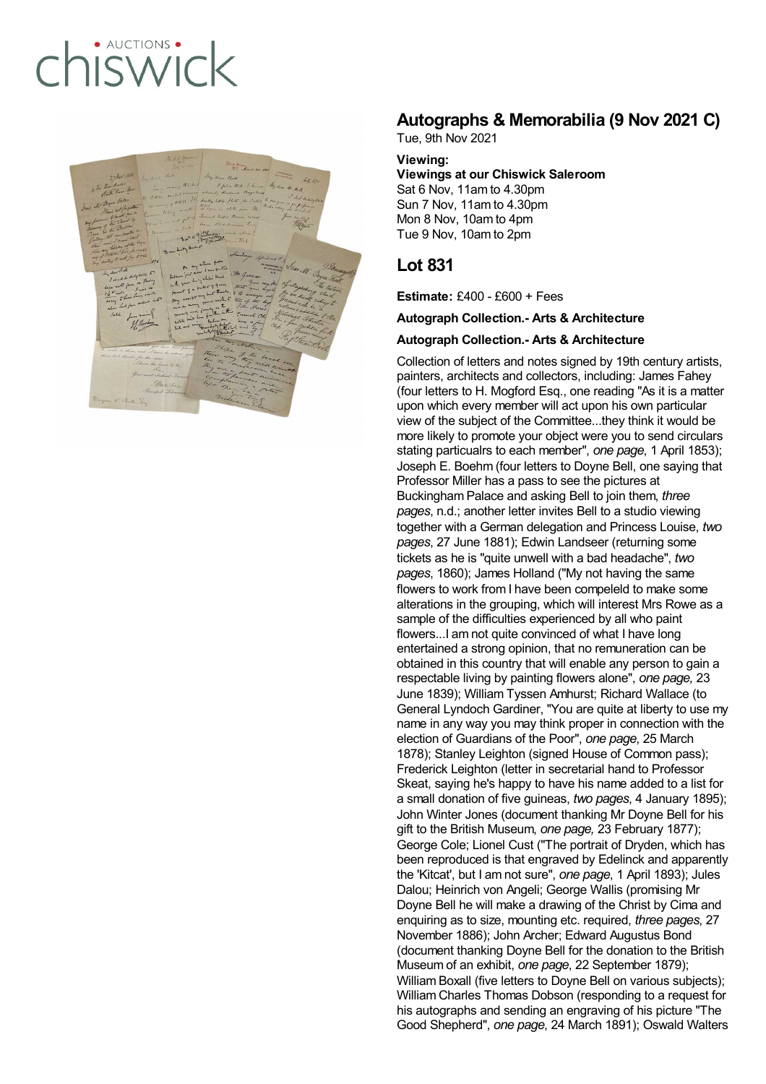# · AUCTIONS hiswick



## **Autographs & Memorabilia (9 Nov 2021 C)**

Tue, 9th Nov 2021

#### **Viewing:**

**Viewings at our Chiswick Saleroom** Sat 6 Nov, 11am to 4.30pm Sun 7 Nov, 11am to 4.30pm Mon 8 Nov, 10am to 4pm Tue 9 Nov, 10am to 2pm

### **Lot 831**

**Estimate:** £400 - £600 + Fees

**Autograph Collection.- Arts & Architecture**

#### **Autograph Collection.- Arts & Architecture**

Collection of letters and notes signed by 19th century artists, painters, architects and collectors, including: James Fahey (four letters to H. Mogford Esq., one reading "As it is a matter upon which every member will act upon his own particular view of the subject of the Committee...they think it would be more likely to promote your object were you to send circulars stating particualrs to each member", *one page*, 1 April 1853); Joseph E. Boehm (four letters to Doyne Bell, one saying that Professor Miller has a pass to see the pictures at Buckingham Palace and asking Bell to join them, *three pages*, n.d.; another letter invites Bell to a studio viewing together with a German delegation and Princess Louise, *two pages*, 27 June 1881); Edwin Landseer (returning some tickets as he is "quite unwell with a bad headache", *two pages*, 1860); James Holland ("My not having the same flowers to work from I have been compeleld to make some alterations in the grouping, which will interest Mrs Rowe as a sample of the difficulties experienced by all who paint flowers...I am not quite convinced of what I have long entertained a strong opinion, that no remuneration can be obtained in this country that will enable any person to gain a respectable living by painting flowers alone", *one page,* 23 June 1839); William Tyssen Amhurst; Richard Wallace (to General Lyndoch Gardiner, "You are quite at liberty to use my name in any way you may think proper in connection with the election of Guardians of the Poor", *one page*, 25 March 1878); Stanley Leighton (signed House of Common pass); Frederick Leighton (letter in secretarial hand to Professor Skeat, saying he's happy to have his name added to a list for a small donation of five guineas, *two pages*, 4 January 1895); John Winter Jones (document thanking Mr Doyne Bell for his gift to the British Museum, *one page,* 23 February 1877); George Cole; Lionel Cust ("The portrait of Dryden, which has been reproduced is that engraved by Edelinck and apparently the 'Kitcat', but I am not sure", *one page*, 1 April 1893); Jules Dalou; Heinrich von Angeli; George Wallis (promising Mr Doyne Bell he will make a drawing of the Christ by Cima and enquiring as to size, mounting etc. required, *three pages*, 27 November 1886); John Archer; Edward Augustus Bond (document thanking Doyne Bell for the donation to the British Museum of an exhibit, *one page*, 22 September 1879); William Boxall (five letters to Doyne Bell on various subjects); William Charles Thomas Dobson (responding to a request for his autographs and sending an engraving of his picture "The Good Shepherd", *one page*, 24 March 1891); Oswald Walters